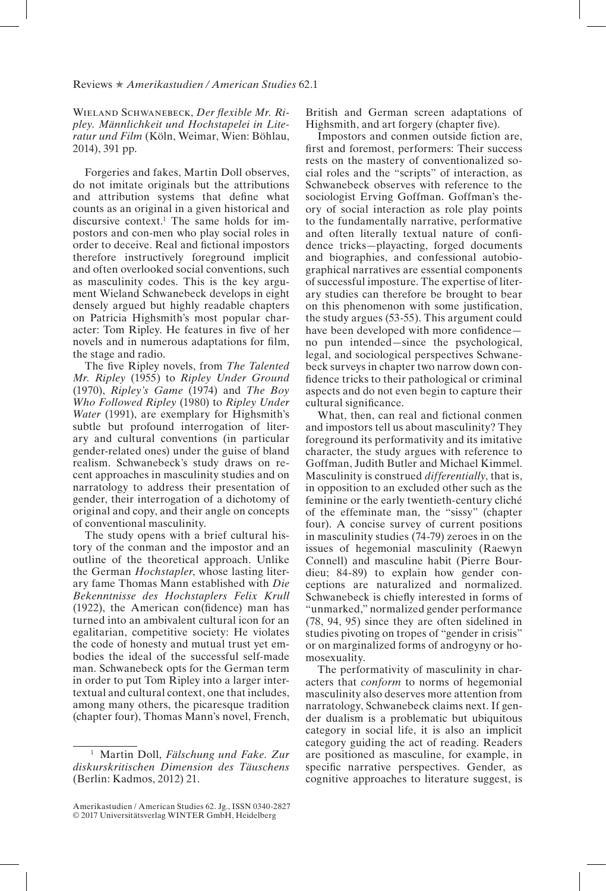## Reviews ★ *Amerikastudien / American Studies* 62.1

Wieland Schwanebeck, *Der fexible Mr. Ripley. Männlichkeit und Hochstapelei in Literatur und Film* (Köln, Weimar, Wien: Böhlau, 2014), 391 pp.

Forgeries and fakes, Martin Doll observes, do not imitate originals but the attributions and attribution systems that defne what counts as an original in a given historical and discursive context.1 The same holds for impostors and con-men who play social roles in order to deceive. Real and fictional impostors therefore instructively foreground implicit and often overlooked social conventions, such as masculinity codes. This is the key argument Wieland Schwanebeck develops in eight densely argued but highly readable chapters on Patricia Highsmith's most popular character: Tom Ripley. He features in fve of her novels and in numerous adaptations for flm, the stage and radio.

The five Ripley novels, from *The Talented Mr. Ripley* (1955) to *Ripley Under Ground* (1970), *Ripley's Game* (1974) and *The Boy Who Followed Ripley* (1980) to *Ripley Under Water* (1991), are exemplary for Highsmith's subtle but profound interrogation of literary and cultural conventions (in particular gender-related ones) under the guise of bland realism. Schwanebeck's study draws on recent approaches in masculinity studies and on narratology to address their presentation of gender, their interrogation of a dichotomy of original and copy, and their angle on concepts of conventional masculinity.

The study opens with a brief cultural history of the conman and the impostor and an outline of the theoretical approach. Unlike the German *Hochstapler*, whose lasting literary fame Thomas Mann established with *Die Bekenntnisse des Hochstaplers Felix Krull* (1922), the American con(fdence) man has turned into an ambivalent cultural icon for an egalitarian, competitive society: He violates the code of honesty and mutual trust yet embodies the ideal of the successful self-made man. Schwanebeck opts for the German term in order to put Tom Ripley into a larger intertextual and cultural context, one that includes, among many others, the picaresque tradition (chapter four), Thomas Mann's novel, French,

British and German screen adaptations of Highsmith, and art forgery (chapter five).

Impostors and conmen outside fiction are, frst and foremost, performers: Their success rests on the mastery of conventionalized social roles and the "scripts" of interaction, as Schwanebeck observes with reference to the sociologist Erving Goffman. Goffman's theory of social interaction as role play points to the fundamentally narrative, performative and often literally textual nature of confdence tricks—playacting, forged documents and biographies, and confessional autobiographical narratives are essential components of successful imposture. The expertise of literary studies can therefore be brought to bear on this phenomenon with some justifcation, the study argues (53-55). This argument could have been developed with more confidenceno pun intended—since the psychological, legal, and sociological perspectives Schwanebeck surveys in chapter two narrow down confdence tricks to their pathological or criminal aspects and do not even begin to capture their cultural signifcance.

What, then, can real and fictional conmen and impostors tell us about masculinity? They foreground its performativity and its imitative character, the study argues with reference to Goffman, Judith Butler and Michael Kimmel. Masculinity is construed *differentially*, that is, in opposition to an excluded other such as the feminine or the early twentieth-century cliché of the effeminate man, the "sissy" (chapter four). A concise survey of current positions in masculinity studies (74-79) zeroes in on the issues of hegemonial masculinity (Raewyn Connell) and masculine habit (Pierre Bourdieu; 84-89) to explain how gender conceptions are naturalized and normalized. Schwanebeck is chiefy interested in forms of "unmarked," normalized gender performance (78, 94, 95) since they are often sidelined in studies pivoting on tropes of "gender in crisis" or on marginalized forms of androgyny or homosexuality.

The performativity of masculinity in characters that *conform* to norms of hegemonial masculinity also deserves more attention from narratology, Schwanebeck claims next. If gender dualism is a problematic but ubiquitous category in social life, it is also an implicit category guiding the act of reading. Readers are positioned as masculine, for example, in specifc narrative perspectives. Gender, as cognitive approaches to literature suggest, is

<sup>1</sup> Martin Doll, *Fälschung und Fake. Zur diskurskritischen Dimension des Täuschens* (Berlin: Kadmos, 2012) 21.

Amerikastudien / American Studies 62. Jg., ISSN 0340-2827 © 2017 Universitätsverlag WINTER GmbH, Heidelberg